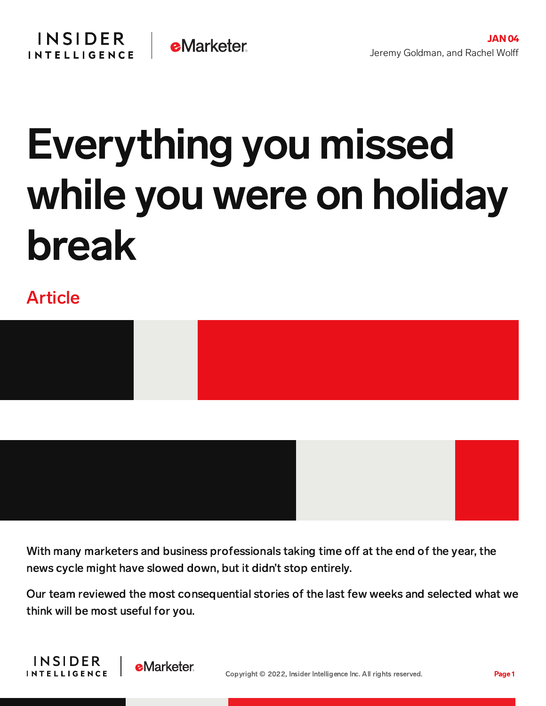## Everything you missed while you were on holiday break

## Article



With many marketers and business professionals taking time off at the end of the year, the news cycle might have slowed down, but it didn't stop entirely.

Our team reviewed the most consequential stories of the last few weeks and selected what we think will be most useful for you.



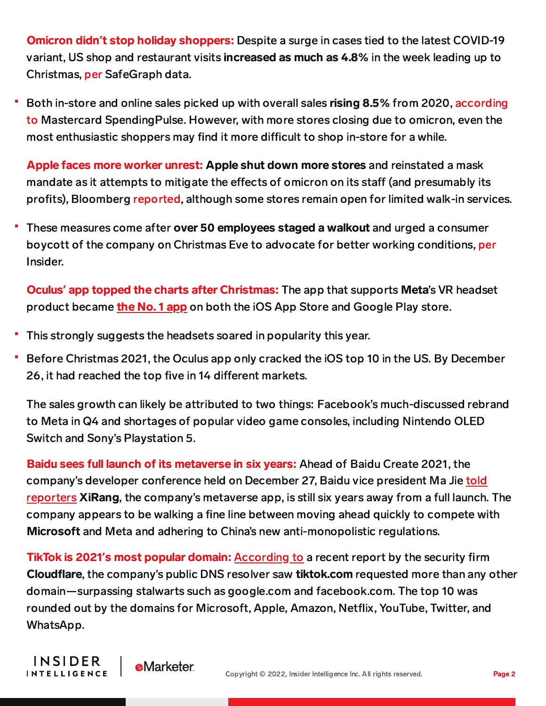Omicron didn**'**t stop holiday shoppers: Despite a surge in cases tied to the latest COVID-19 variant, US shop and restaurant visits increased as much as 4.8% in the week leading up to Christmas, [per](https://www.bloomberg.com/news/articles/2021-12-30/americans-rebuff-omicron-as-activity-picked-up-in-christmas-week) SafeGraph data.

Both in-store and online sales picked up with overall sales rising 8.5% from 2020, according to Mastercard [SpendingPulse.](https://www.bloomberg.com/news/articles/2021-12-26/holiday-sales-jump-8-5-as-u-s-consumers-return-to-retailers) However, with more stores closing due to omicron, even the most enthusiastic shoppers may find it more difficult to shop in-store for a while.

Apple faces more worker unrest: Apple shut down more stores and reinstated a mask mandate as it attempts to mitigate the effects of omicron on its staff (and presumably its profits), Bloomberg [reported,](https://www.bloomberg.com/news/articles/2021-12-22/apple-shuts-at-least-seven-stores-since-tuesday-amid-covid-surge?sref=9hGJlFio) although some stores remain open for limited walk-in services.

These measures come after over 50 employees staged a walkout and urged a consumer boycott of the company on Christmas Eve to advocate for better working conditions, [per](https://www.businessinsider.com/apple-employees-plan-walkout-on-christmas-eve-urge-customer-boycott-2021-12?utm_source=feedly&utm_medium=webfeeds) Insider.

Oculus**'** app topped the charts after Christmas: The app that supports Meta's VR headset product became **the No. 1 [app](https://qz.com/2107700/metas-oculus-was-the-top-app-in-the-us-on-christmas/)** on both the iOS App Store and Google Play store.

This strongly suggests the headsets soared in popularity this year.

**INSIDER** 

**INTELLIGENCE** 

Before Christmas 2021, the Oculus app only cracked the iOS top 10 in the US. By December 26, it had reached the top five in 14 different markets.

The sales growth can likely be attributed to two things: Facebook's much-discussed rebrand to Meta in Q4 and shortages of popular video game consoles, including Nintendo OLED Switch and Sony's Playstation 5.

Baidu sees full launch of its metaverse in six years: Ahead of Baidu Create 2021, the company's developer conference held on December 27, Baidu vice president Ma Jie told reporters XiRang, the [company's](https://www.cnbc.com/2021/12/24/baidu-says-it-could-be-6-years-before-it-can-fully-deliver-its-metaverse.html) metaverse app, is still six years away from a full launch. The company appears to be walking a fine line between moving ahead quickly to compete with Microsoft and Meta and adhering to China's new anti-monopolistic regulations.

TikTok is 2021**'**s most popular domain: [According](https://www.axios.com/tiktok-surpassed-google-traffic-2021-05bdbe31-b559-4479-b7c8-6df560d2c00e.html) to a recent report by the security firm Cloudflare, the company's public DNS resolver saw tiktok.com requested more than any other domain—surpassing stalwarts such as google.com and facebook.com. The top 10 was rounded out by the domains for Microsoft, Apple, Amazon, Netflix, YouTube, Twitter, and WhatsApp.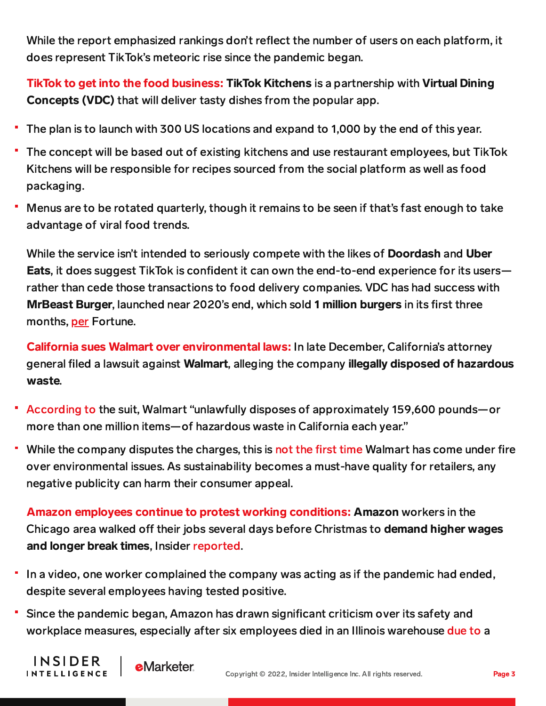While the report emphasized rankings don't reflect the number of users on each platform, it does represent TikTok's meteoric rise since the pandemic began.

TikTok to get into the food business: TikTok Kitchens is a partnership with Virtual Dining Concepts (VDC) that will deliver tasty dishes from the popular app.

- The plan is to launch with 300 US locations and expand to 1,000 by the end of this year.
- The concept will be based out of existing kitchens and use restaurant employees, but TikTok Kitchens will be responsible for recipes sourced from the social platform as well as food packaging.
- Menus are to be rotated quarterly, though it remains to be seen if that's fast enough to take advantage of viral food trends.

While the service isn't intended to seriously compete with the likes of **Doordash** and Uber Eats, it does suggest TikTok is confident it can own the end-to-end experience for its users rather than cede those transactions to food delivery companies. VDC has had success with MrBeast Burger, launched near 2020's end, which sold 1 million burgers in its first three months, [per](https://fortune.com/2021/12/18/tiktok-kitchen-virtual-restaurants-robert-earl-mrbeast-burger/) Fortune.

California sues Walmart over environmental laws: In late December, California's attorney general filed a lawsuit against Walmart, alleging the company illegally disposed of hazardous waste.

- [According](https://oag.ca.gov/news/press-releases/attorney-general-bonta-announces-statewide-lawsuit-against-walmart-illegal) to the suit, Walmart "unlawfully disposes of approximately 159,600 pounds—or more than one million items—of hazardous waste in California each year."
- While the company disputes the charges, this is not the [first](http://theverge.com/2021/12/27/22852544/walmart-lawsuit-hazardous-ewaste-california) time Walmart has come under fire over environmental issues. As sustainability becomes a must-have quality for retailers, any negative publicity can harm their consumer appeal.

Amazon employees continue to protest working conditions: Amazon workers in the Chicago area walked off their jobs several days before Christmas to demand higher wages and longer break times, Insider [reported.](https://www.businessinsider.com/amazon-worker-says-company-shortened-breaks-because-pandemic-supposedly-over-2021-12?utm_source=feedly&utm_medium=webfeeds)

- In a video, one worker complained the company was acting as if the pandemic had ended, despite several employees having tested positive.
- Since the pandemic began, Amazon has drawn significant criticism over its safety and workplace measures, especially after six employees died in an Illinois warehouse [due](https://content-na1.emarketer.com/more-consumers-scrutinize-brands-business-practices-amazon-faces-workplace-safety-probe) to a

**INSIDER** 

**INTELLIGENCE** 

**e**Marketer